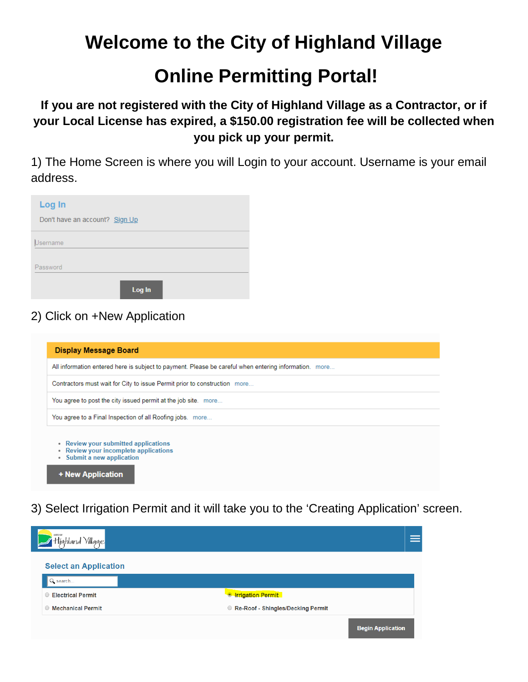# **Welcome to the City of Highland Village**

# **Online Permitting Portal!**

**If you are not registered with the City of Highland Village as a Contractor, or if your Local License has expired, a \$150.00 registration fee will be collected when you pick up your permit.**

1) The Home Screen is where you will Login to your account. Username is your email address.

| Log In                         |        |  |
|--------------------------------|--------|--|
| Don't have an account? Sign Up |        |  |
| Username                       |        |  |
| Password                       |        |  |
|                                |        |  |
|                                | Log In |  |

### 2) Click on +New Application

| <b>Display Message Board</b>                                                                                         |
|----------------------------------------------------------------------------------------------------------------------|
| All information entered here is subject to payment. Please be careful when entering information. more                |
| Contractors must wait for City to issue Permit prior to construction more                                            |
| You agree to post the city issued permit at the job site. more                                                       |
| You agree to a Final Inspection of all Roofing jobs. more                                                            |
| • Review your submitted applications<br>Review your incomplete applications<br>Submit a new application<br>$\bullet$ |
| + New Application                                                                                                    |

3) Select Irrigation Permit and it will take you to the 'Creating Application' screen.

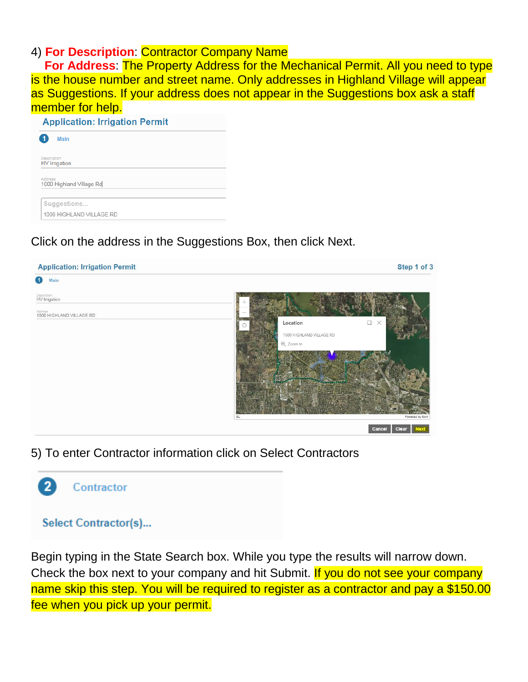### 4) **For Description**: Contractor Company Name

 **For Address**: The Property Address for the Mechanical Permit. All you need to type is the house number and street name. Only addresses in Highland Village will appear as Suggestions. If your address does not appear in the Suggestions box ask a staff member for help.

|             | <b>Application: Irrigation Permit</b> |  |
|-------------|---------------------------------------|--|
|             | <b>Main</b>                           |  |
| Description | <b>HV</b> Irrigation                  |  |
| Address     | 1000 Highland Village Rd              |  |
|             | Suggestions                           |  |
|             | 1000 HIGHLAND VILLAGE RD              |  |

### Click on the address in the Suggestions Box, then click Next.



#### 5) To enter Contractor information click on Select Contractors



Contractor

### **Select Contractor(s)...**

Begin typing in the State Search box. While you type the results will narrow down. Check the box next to your company and hit Submit. If you do not see your company name skip this step. You will be required to register as a contractor and pay a \$150.00 fee when you pick up your permit.